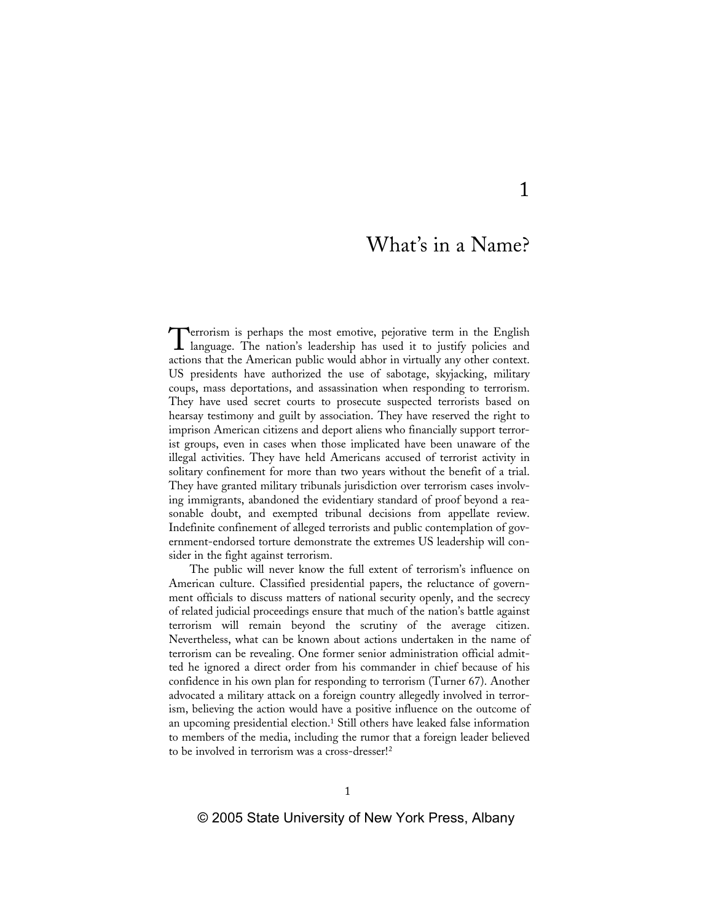# What's in a Name?

Terrorism is perhaps the most emotive, pejorative term in the English<br>language. The nation's leadership has used it to justify policies and actions that the American public would abhor in virtually any other context. US presidents have authorized the use of sabotage, skyjacking, military coups, mass deportations, and assassination when responding to terrorism. They have used secret courts to prosecute suspected terrorists based on hearsay testimony and guilt by association. They have reserved the right to imprison American citizens and deport aliens who financially support terrorist groups, even in cases when those implicated have been unaware of the illegal activities. They have held Americans accused of terrorist activity in solitary confinement for more than two years without the benefit of a trial. They have granted military tribunals jurisdiction over terrorism cases involving immigrants, abandoned the evidentiary standard of proof beyond a reasonable doubt, and exempted tribunal decisions from appellate review. Indefinite confinement of alleged terrorists and public contemplation of government-endorsed torture demonstrate the extremes US leadership will consider in the fight against terrorism.

The public will never know the full extent of terrorism's influence on American culture. Classified presidential papers, the reluctance of government officials to discuss matters of national security openly, and the secrecy of related judicial proceedings ensure that much of the nation's battle against terrorism will remain beyond the scrutiny of the average citizen. Nevertheless, what can be known about actions undertaken in the name of terrorism can be revealing. One former senior administration official admitted he ignored a direct order from his commander in chief because of his confidence in his own plan for responding to terrorism (Turner 67). Another advocated a military attack on a foreign country allegedly involved in terrorism, believing the action would have a positive influence on the outcome of an upcoming presidential election.<sup>1</sup> Still others have leaked false information to members of the media, including the rumor that a foreign leader believed to be involved in terrorism was a cross-dresser!2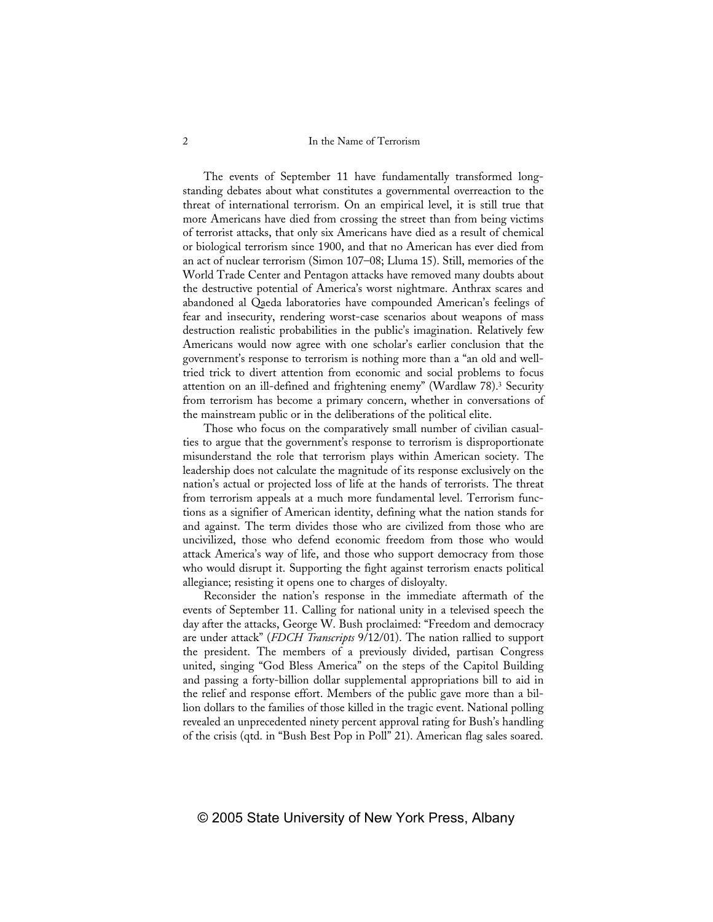The events of September 11 have fundamentally transformed longstanding debates about what constitutes a governmental overreaction to the threat of international terrorism. On an empirical level, it is still true that more Americans have died from crossing the street than from being victims of terrorist attacks, that only six Americans have died as a result of chemical or biological terrorism since 1900, and that no American has ever died from an act of nuclear terrorism (Simon 107–08; Lluma 15). Still, memories of the World Trade Center and Pentagon attacks have removed many doubts about the destructive potential of America's worst nightmare. Anthrax scares and abandoned al Qaeda laboratories have compounded American's feelings of fear and insecurity, rendering worst-case scenarios about weapons of mass destruction realistic probabilities in the public's imagination. Relatively few Americans would now agree with one scholar's earlier conclusion that the government's response to terrorism is nothing more than a "an old and welltried trick to divert attention from economic and social problems to focus attention on an ill-defined and frightening enemy" (Wardlaw 78).3 Security from terrorism has become a primary concern, whether in conversations of the mainstream public or in the deliberations of the political elite.

Those who focus on the comparatively small number of civilian casualties to argue that the government's response to terrorism is disproportionate misunderstand the role that terrorism plays within American society. The leadership does not calculate the magnitude of its response exclusively on the nation's actual or projected loss of life at the hands of terrorists. The threat from terrorism appeals at a much more fundamental level. Terrorism functions as a signifier of American identity, defining what the nation stands for and against. The term divides those who are civilized from those who are uncivilized, those who defend economic freedom from those who would attack America's way of life, and those who support democracy from those who would disrupt it. Supporting the fight against terrorism enacts political allegiance; resisting it opens one to charges of disloyalty.

Reconsider the nation's response in the immediate aftermath of the events of September 11. Calling for national unity in a televised speech the day after the attacks, George W. Bush proclaimed: "Freedom and democracy are under attack" (*FDCH Transcripts* 9/12/01). The nation rallied to support the president. The members of a previously divided, partisan Congress united, singing "God Bless America" on the steps of the Capitol Building and passing a forty-billion dollar supplemental appropriations bill to aid in the relief and response effort. Members of the public gave more than a billion dollars to the families of those killed in the tragic event. National polling revealed an unprecedented ninety percent approval rating for Bush's handling of the crisis (qtd. in "Bush Best Pop in Poll" 21). American flag sales soared.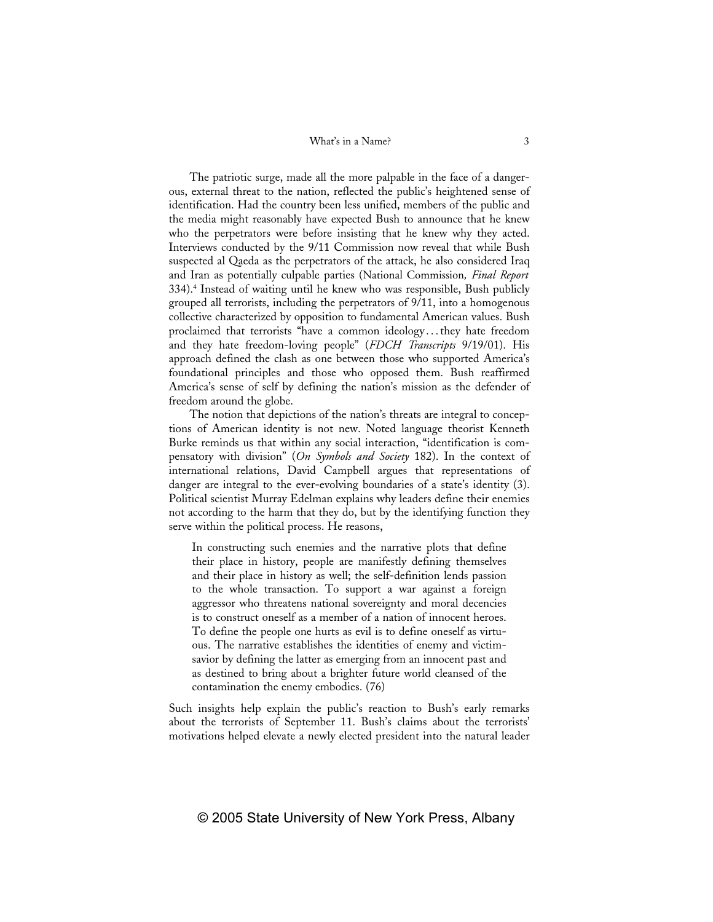The patriotic surge, made all the more palpable in the face of a dangerous, external threat to the nation, reflected the public's heightened sense of identification. Had the country been less unified, members of the public and the media might reasonably have expected Bush to announce that he knew who the perpetrators were before insisting that he knew why they acted. Interviews conducted by the 9/11 Commission now reveal that while Bush suspected al Qaeda as the perpetrators of the attack, he also considered Iraq and Iran as potentially culpable parties (National Commission*, Final Report* 334).4 Instead of waiting until he knew who was responsible, Bush publicly grouped all terrorists, including the perpetrators of 9/11, into a homogenous collective characterized by opposition to fundamental American values. Bush proclaimed that terrorists "have a common ideology . . . they hate freedom and they hate freedom-loving people" (*FDCH Transcripts* 9/19/01). His approach defined the clash as one between those who supported America's foundational principles and those who opposed them. Bush reaffirmed America's sense of self by defining the nation's mission as the defender of freedom around the globe.

The notion that depictions of the nation's threats are integral to conceptions of American identity is not new. Noted language theorist Kenneth Burke reminds us that within any social interaction, "identification is compensatory with division" (*On Symbols and Society* 182). In the context of international relations, David Campbell argues that representations of danger are integral to the ever-evolving boundaries of a state's identity (3). Political scientist Murray Edelman explains why leaders define their enemies not according to the harm that they do, but by the identifying function they serve within the political process. He reasons,

In constructing such enemies and the narrative plots that define their place in history, people are manifestly defining themselves and their place in history as well; the self-definition lends passion to the whole transaction. To support a war against a foreign aggressor who threatens national sovereignty and moral decencies is to construct oneself as a member of a nation of innocent heroes. To define the people one hurts as evil is to define oneself as virtuous. The narrative establishes the identities of enemy and victimsavior by defining the latter as emerging from an innocent past and as destined to bring about a brighter future world cleansed of the contamination the enemy embodies. (76)

Such insights help explain the public's reaction to Bush's early remarks about the terrorists of September 11. Bush's claims about the terrorists' motivations helped elevate a newly elected president into the natural leader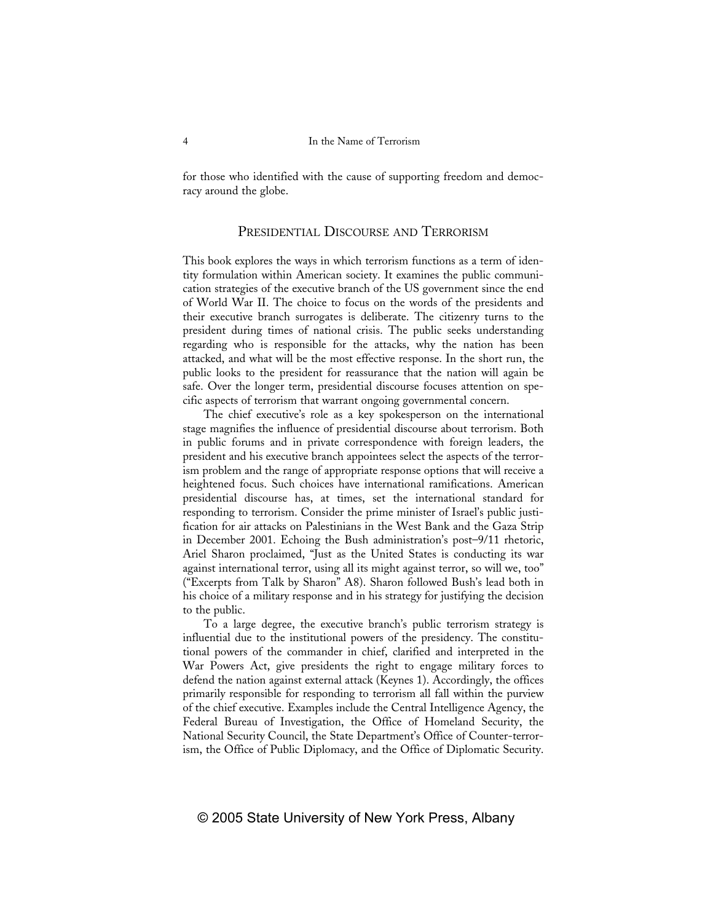for those who identified with the cause of supporting freedom and democracy around the globe.

## PRESIDENTIAL DISCOURSE AND TERRORISM

This book explores the ways in which terrorism functions as a term of identity formulation within American society. It examines the public communication strategies of the executive branch of the US government since the end of World War II. The choice to focus on the words of the presidents and their executive branch surrogates is deliberate. The citizenry turns to the president during times of national crisis. The public seeks understanding regarding who is responsible for the attacks, why the nation has been attacked, and what will be the most effective response. In the short run, the public looks to the president for reassurance that the nation will again be safe. Over the longer term, presidential discourse focuses attention on specific aspects of terrorism that warrant ongoing governmental concern.

The chief executive's role as a key spokesperson on the international stage magnifies the influence of presidential discourse about terrorism. Both in public forums and in private correspondence with foreign leaders, the president and his executive branch appointees select the aspects of the terrorism problem and the range of appropriate response options that will receive a heightened focus. Such choices have international ramifications. American presidential discourse has, at times, set the international standard for responding to terrorism. Consider the prime minister of Israel's public justification for air attacks on Palestinians in the West Bank and the Gaza Strip in December 2001. Echoing the Bush administration's post–9/11 rhetoric, Ariel Sharon proclaimed, "Just as the United States is conducting its war against international terror, using all its might against terror, so will we, too" ("Excerpts from Talk by Sharon" A8). Sharon followed Bush's lead both in his choice of a military response and in his strategy for justifying the decision to the public.

To a large degree, the executive branch's public terrorism strategy is influential due to the institutional powers of the presidency. The constitutional powers of the commander in chief, clarified and interpreted in the War Powers Act, give presidents the right to engage military forces to defend the nation against external attack (Keynes 1). Accordingly, the offices primarily responsible for responding to terrorism all fall within the purview of the chief executive. Examples include the Central Intelligence Agency, the Federal Bureau of Investigation, the Office of Homeland Security, the National Security Council, the State Department's Office of Counter-terrorism, the Office of Public Diplomacy, and the Office of Diplomatic Security.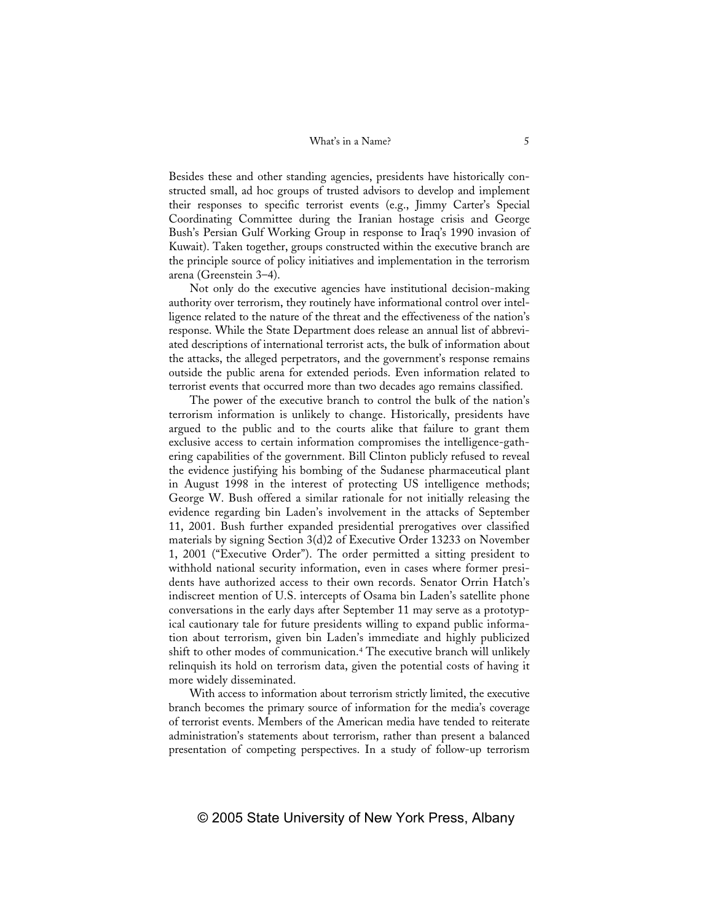Besides these and other standing agencies, presidents have historically constructed small, ad hoc groups of trusted advisors to develop and implement their responses to specific terrorist events (e.g., Jimmy Carter's Special Coordinating Committee during the Iranian hostage crisis and George Bush's Persian Gulf Working Group in response to Iraq's 1990 invasion of Kuwait). Taken together, groups constructed within the executive branch are the principle source of policy initiatives and implementation in the terrorism arena (Greenstein 3–4).

Not only do the executive agencies have institutional decision-making authority over terrorism, they routinely have informational control over intelligence related to the nature of the threat and the effectiveness of the nation's response. While the State Department does release an annual list of abbreviated descriptions of international terrorist acts, the bulk of information about the attacks, the alleged perpetrators, and the government's response remains outside the public arena for extended periods. Even information related to terrorist events that occurred more than two decades ago remains classified.

The power of the executive branch to control the bulk of the nation's terrorism information is unlikely to change. Historically, presidents have argued to the public and to the courts alike that failure to grant them exclusive access to certain information compromises the intelligence-gathering capabilities of the government. Bill Clinton publicly refused to reveal the evidence justifying his bombing of the Sudanese pharmaceutical plant in August 1998 in the interest of protecting US intelligence methods; George W. Bush offered a similar rationale for not initially releasing the evidence regarding bin Laden's involvement in the attacks of September 11, 2001. Bush further expanded presidential prerogatives over classified materials by signing Section 3(d)2 of Executive Order 13233 on November 1, 2001 ("Executive Order"). The order permitted a sitting president to withhold national security information, even in cases where former presidents have authorized access to their own records. Senator Orrin Hatch's indiscreet mention of U.S. intercepts of Osama bin Laden's satellite phone conversations in the early days after September 11 may serve as a prototypical cautionary tale for future presidents willing to expand public information about terrorism, given bin Laden's immediate and highly publicized shift to other modes of communication.4 The executive branch will unlikely relinquish its hold on terrorism data, given the potential costs of having it more widely disseminated.

With access to information about terrorism strictly limited, the executive branch becomes the primary source of information for the media's coverage of terrorist events. Members of the American media have tended to reiterate administration's statements about terrorism, rather than present a balanced presentation of competing perspectives. In a study of follow-up terrorism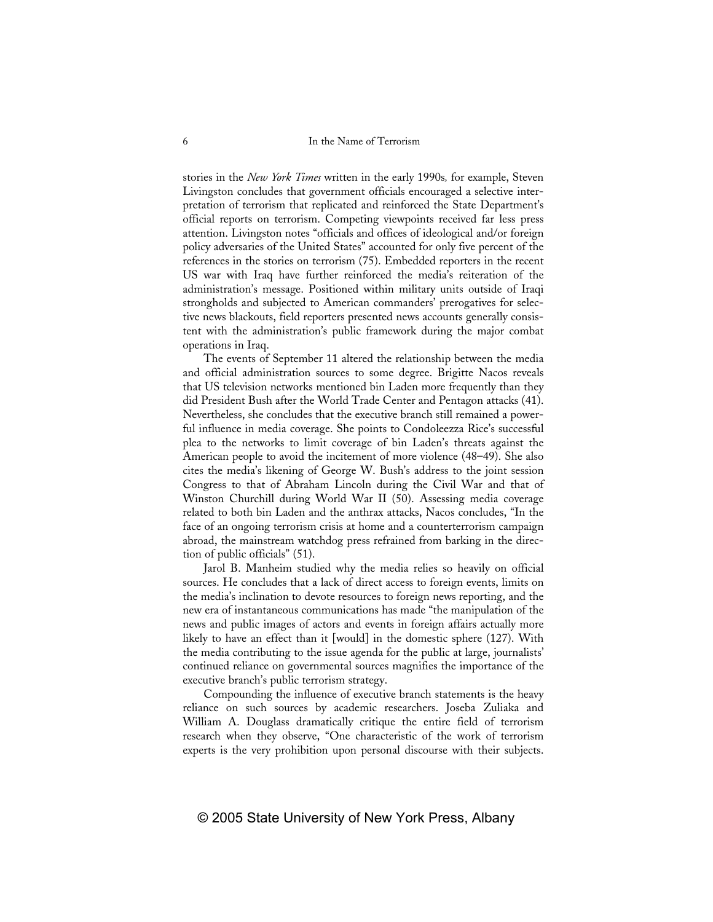stories in the *New York Times* written in the early 1990s*,* for example, Steven Livingston concludes that government officials encouraged a selective interpretation of terrorism that replicated and reinforced the State Department's official reports on terrorism. Competing viewpoints received far less press attention. Livingston notes "officials and offices of ideological and/or foreign policy adversaries of the United States" accounted for only five percent of the references in the stories on terrorism (75). Embedded reporters in the recent US war with Iraq have further reinforced the media's reiteration of the administration's message. Positioned within military units outside of Iraqi strongholds and subjected to American commanders' prerogatives for selective news blackouts, field reporters presented news accounts generally consistent with the administration's public framework during the major combat operations in Iraq.

The events of September 11 altered the relationship between the media and official administration sources to some degree. Brigitte Nacos reveals that US television networks mentioned bin Laden more frequently than they did President Bush after the World Trade Center and Pentagon attacks (41). Nevertheless, she concludes that the executive branch still remained a powerful influence in media coverage. She points to Condoleezza Rice's successful plea to the networks to limit coverage of bin Laden's threats against the American people to avoid the incitement of more violence (48–49). She also cites the media's likening of George W. Bush's address to the joint session Congress to that of Abraham Lincoln during the Civil War and that of Winston Churchill during World War II (50). Assessing media coverage related to both bin Laden and the anthrax attacks, Nacos concludes, "In the face of an ongoing terrorism crisis at home and a counterterrorism campaign abroad, the mainstream watchdog press refrained from barking in the direction of public officials" (51).

Jarol B. Manheim studied why the media relies so heavily on official sources. He concludes that a lack of direct access to foreign events, limits on the media's inclination to devote resources to foreign news reporting, and the new era of instantaneous communications has made "the manipulation of the news and public images of actors and events in foreign affairs actually more likely to have an effect than it [would] in the domestic sphere (127). With the media contributing to the issue agenda for the public at large, journalists' continued reliance on governmental sources magnifies the importance of the executive branch's public terrorism strategy.

Compounding the influence of executive branch statements is the heavy reliance on such sources by academic researchers. Joseba Zuliaka and William A. Douglass dramatically critique the entire field of terrorism research when they observe, "One characteristic of the work of terrorism experts is the very prohibition upon personal discourse with their subjects.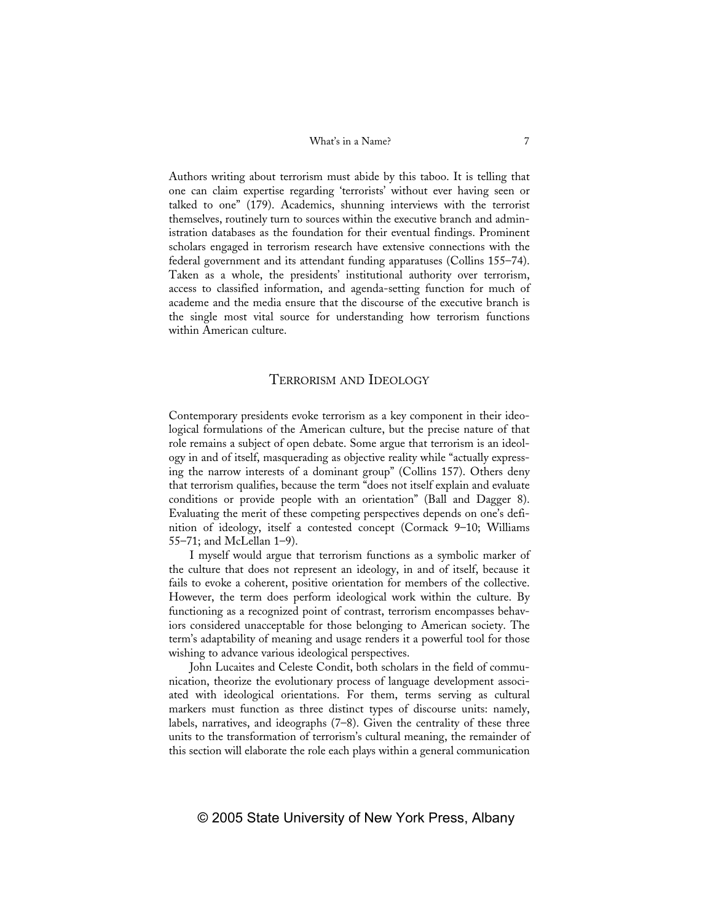Authors writing about terrorism must abide by this taboo. It is telling that one can claim expertise regarding 'terrorists' without ever having seen or talked to one" (179). Academics, shunning interviews with the terrorist themselves, routinely turn to sources within the executive branch and administration databases as the foundation for their eventual findings. Prominent scholars engaged in terrorism research have extensive connections with the federal government and its attendant funding apparatuses (Collins 155–74). Taken as a whole, the presidents' institutional authority over terrorism, access to classified information, and agenda-setting function for much of academe and the media ensure that the discourse of the executive branch is the single most vital source for understanding how terrorism functions within American culture.

### TERRORISM AND IDEOLOGY

Contemporary presidents evoke terrorism as a key component in their ideological formulations of the American culture, but the precise nature of that role remains a subject of open debate. Some argue that terrorism is an ideology in and of itself, masquerading as objective reality while "actually expressing the narrow interests of a dominant group" (Collins 157). Others deny that terrorism qualifies, because the term "does not itself explain and evaluate conditions or provide people with an orientation" (Ball and Dagger 8). Evaluating the merit of these competing perspectives depends on one's definition of ideology, itself a contested concept (Cormack 9–10; Williams 55–71; and McLellan 1–9).

I myself would argue that terrorism functions as a symbolic marker of the culture that does not represent an ideology, in and of itself, because it fails to evoke a coherent, positive orientation for members of the collective. However, the term does perform ideological work within the culture. By functioning as a recognized point of contrast, terrorism encompasses behaviors considered unacceptable for those belonging to American society. The term's adaptability of meaning and usage renders it a powerful tool for those wishing to advance various ideological perspectives.

John Lucaites and Celeste Condit, both scholars in the field of communication, theorize the evolutionary process of language development associated with ideological orientations. For them, terms serving as cultural markers must function as three distinct types of discourse units: namely, labels, narratives, and ideographs (7–8). Given the centrality of these three units to the transformation of terrorism's cultural meaning, the remainder of this section will elaborate the role each plays within a general communication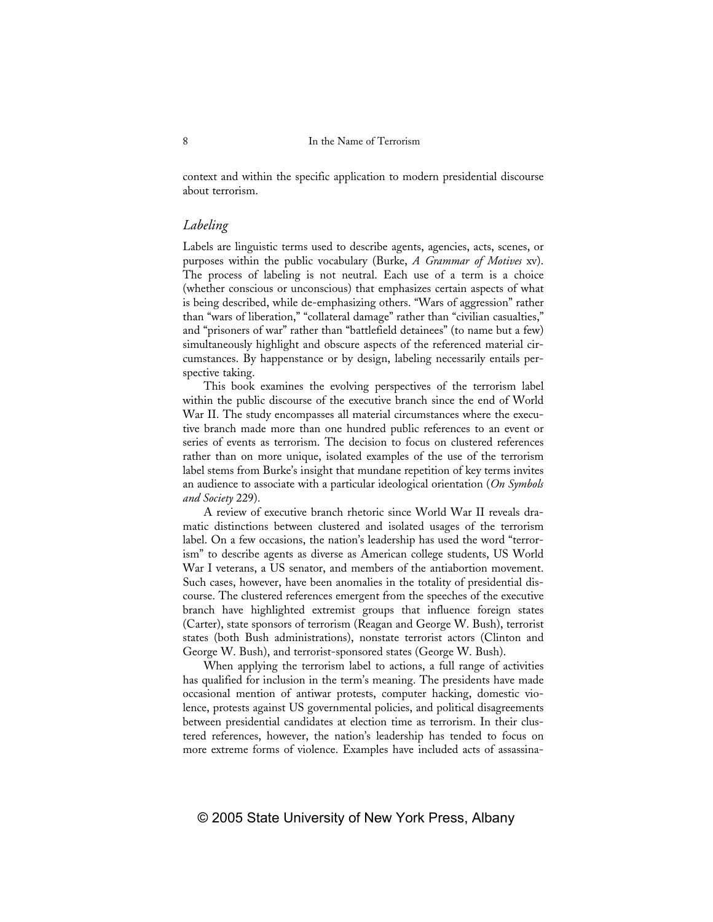context and within the specific application to modern presidential discourse about terrorism.

#### *Labeling*

Labels are linguistic terms used to describe agents, agencies, acts, scenes, or purposes within the public vocabulary (Burke, *A Grammar of Motives* xv). The process of labeling is not neutral. Each use of a term is a choice (whether conscious or unconscious) that emphasizes certain aspects of what is being described, while de-emphasizing others. "Wars of aggression" rather than "wars of liberation," "collateral damage" rather than "civilian casualties," and "prisoners of war" rather than "battlefield detainees" (to name but a few) simultaneously highlight and obscure aspects of the referenced material circumstances. By happenstance or by design, labeling necessarily entails perspective taking.

This book examines the evolving perspectives of the terrorism label within the public discourse of the executive branch since the end of World War II. The study encompasses all material circumstances where the executive branch made more than one hundred public references to an event or series of events as terrorism. The decision to focus on clustered references rather than on more unique, isolated examples of the use of the terrorism label stems from Burke's insight that mundane repetition of key terms invites an audience to associate with a particular ideological orientation (*On Symbols and Society* 229).

A review of executive branch rhetoric since World War II reveals dramatic distinctions between clustered and isolated usages of the terrorism label. On a few occasions, the nation's leadership has used the word "terrorism" to describe agents as diverse as American college students, US World War I veterans, a US senator, and members of the antiabortion movement. Such cases, however, have been anomalies in the totality of presidential discourse. The clustered references emergent from the speeches of the executive branch have highlighted extremist groups that influence foreign states (Carter), state sponsors of terrorism (Reagan and George W. Bush), terrorist states (both Bush administrations), nonstate terrorist actors (Clinton and George W. Bush), and terrorist-sponsored states (George W. Bush).

When applying the terrorism label to actions, a full range of activities has qualified for inclusion in the term's meaning. The presidents have made occasional mention of antiwar protests, computer hacking, domestic violence, protests against US governmental policies, and political disagreements between presidential candidates at election time as terrorism. In their clustered references, however, the nation's leadership has tended to focus on more extreme forms of violence. Examples have included acts of assassina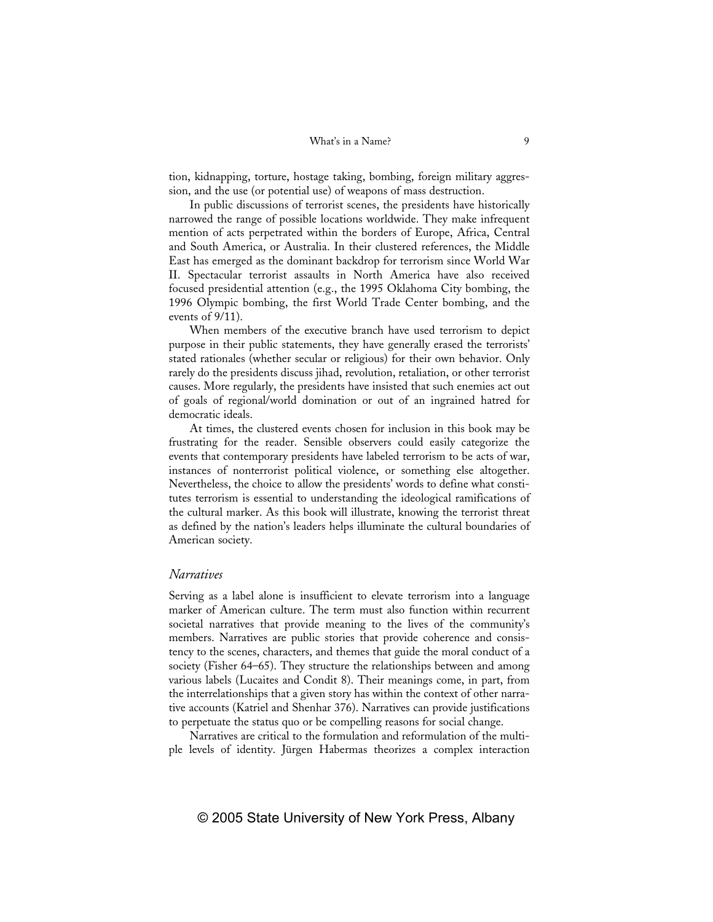tion, kidnapping, torture, hostage taking, bombing, foreign military aggression, and the use (or potential use) of weapons of mass destruction.

In public discussions of terrorist scenes, the presidents have historically narrowed the range of possible locations worldwide. They make infrequent mention of acts perpetrated within the borders of Europe, Africa, Central and South America, or Australia. In their clustered references, the Middle East has emerged as the dominant backdrop for terrorism since World War II. Spectacular terrorist assaults in North America have also received focused presidential attention (e.g., the 1995 Oklahoma City bombing, the 1996 Olympic bombing, the first World Trade Center bombing, and the events of 9/11).

When members of the executive branch have used terrorism to depict purpose in their public statements, they have generally erased the terrorists' stated rationales (whether secular or religious) for their own behavior. Only rarely do the presidents discuss jihad, revolution, retaliation, or other terrorist causes. More regularly, the presidents have insisted that such enemies act out of goals of regional/world domination or out of an ingrained hatred for democratic ideals.

At times, the clustered events chosen for inclusion in this book may be frustrating for the reader. Sensible observers could easily categorize the events that contemporary presidents have labeled terrorism to be acts of war, instances of nonterrorist political violence, or something else altogether. Nevertheless, the choice to allow the presidents' words to define what constitutes terrorism is essential to understanding the ideological ramifications of the cultural marker. As this book will illustrate, knowing the terrorist threat as defined by the nation's leaders helps illuminate the cultural boundaries of American society.

#### *Narratives*

Serving as a label alone is insufficient to elevate terrorism into a language marker of American culture. The term must also function within recurrent societal narratives that provide meaning to the lives of the community's members. Narratives are public stories that provide coherence and consistency to the scenes, characters, and themes that guide the moral conduct of a society (Fisher 64–65). They structure the relationships between and among various labels (Lucaites and Condit 8). Their meanings come, in part, from the interrelationships that a given story has within the context of other narrative accounts (Katriel and Shenhar 376). Narratives can provide justifications to perpetuate the status quo or be compelling reasons for social change.

Narratives are critical to the formulation and reformulation of the multiple levels of identity. Jürgen Habermas theorizes a complex interaction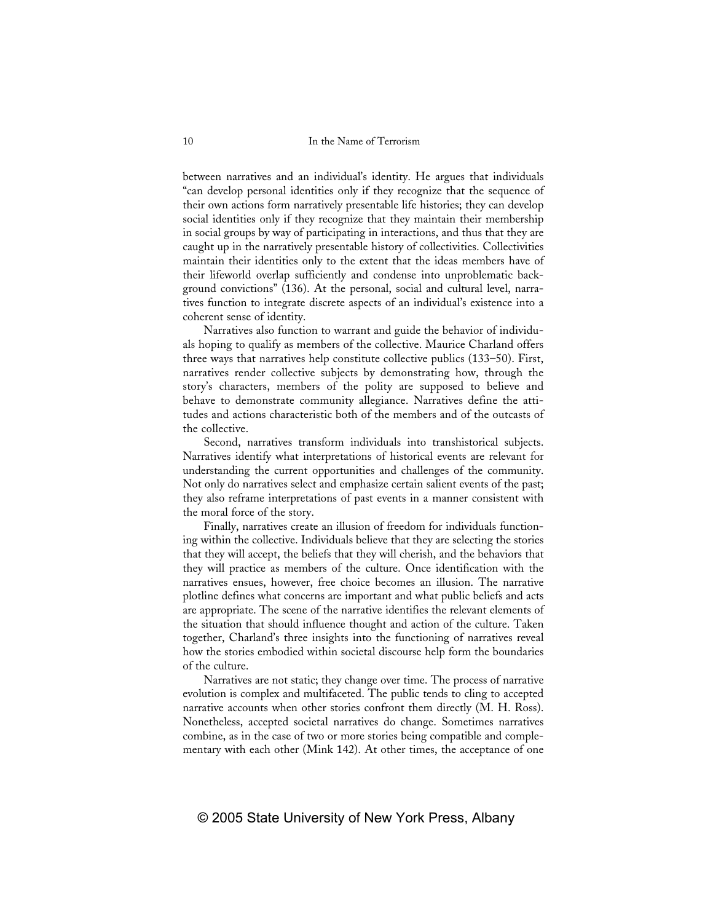between narratives and an individual's identity. He argues that individuals "can develop personal identities only if they recognize that the sequence of their own actions form narratively presentable life histories; they can develop social identities only if they recognize that they maintain their membership in social groups by way of participating in interactions, and thus that they are caught up in the narratively presentable history of collectivities. Collectivities maintain their identities only to the extent that the ideas members have of their lifeworld overlap sufficiently and condense into unproblematic background convictions" (136). At the personal, social and cultural level, narratives function to integrate discrete aspects of an individual's existence into a coherent sense of identity.

Narratives also function to warrant and guide the behavior of individuals hoping to qualify as members of the collective. Maurice Charland offers three ways that narratives help constitute collective publics (133–50). First, narratives render collective subjects by demonstrating how, through the story's characters, members of the polity are supposed to believe and behave to demonstrate community allegiance. Narratives define the attitudes and actions characteristic both of the members and of the outcasts of the collective.

Second, narratives transform individuals into transhistorical subjects. Narratives identify what interpretations of historical events are relevant for understanding the current opportunities and challenges of the community. Not only do narratives select and emphasize certain salient events of the past; they also reframe interpretations of past events in a manner consistent with the moral force of the story.

Finally, narratives create an illusion of freedom for individuals functioning within the collective. Individuals believe that they are selecting the stories that they will accept, the beliefs that they will cherish, and the behaviors that they will practice as members of the culture. Once identification with the narratives ensues, however, free choice becomes an illusion. The narrative plotline defines what concerns are important and what public beliefs and acts are appropriate. The scene of the narrative identifies the relevant elements of the situation that should influence thought and action of the culture. Taken together, Charland's three insights into the functioning of narratives reveal how the stories embodied within societal discourse help form the boundaries of the culture.

Narratives are not static; they change over time. The process of narrative evolution is complex and multifaceted. The public tends to cling to accepted narrative accounts when other stories confront them directly (M. H. Ross). Nonetheless, accepted societal narratives do change. Sometimes narratives combine, as in the case of two or more stories being compatible and complementary with each other (Mink 142). At other times, the acceptance of one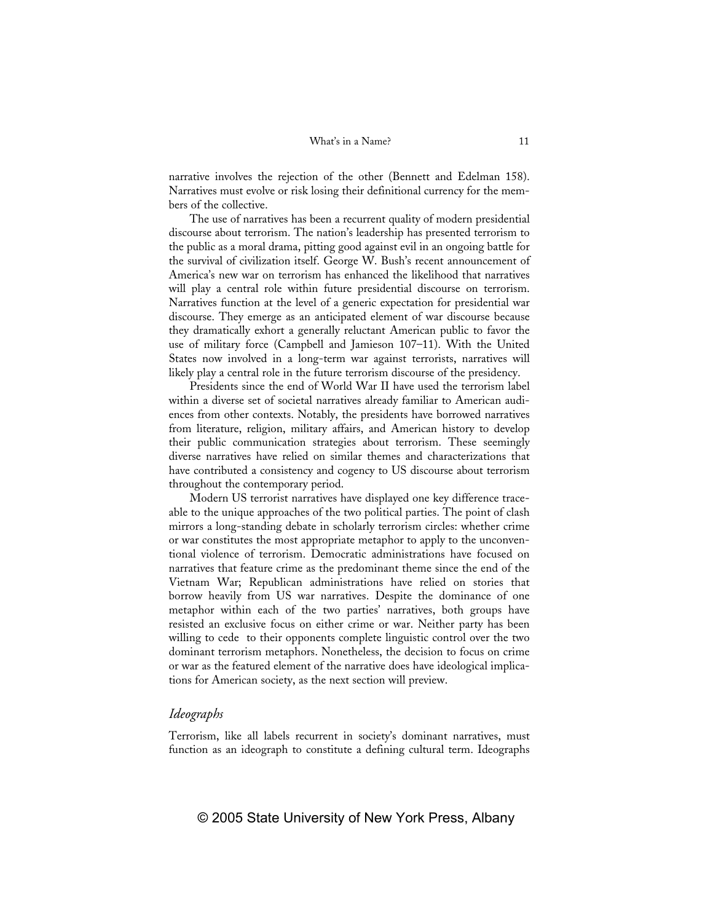narrative involves the rejection of the other (Bennett and Edelman 158). Narratives must evolve or risk losing their definitional currency for the members of the collective.

The use of narratives has been a recurrent quality of modern presidential discourse about terrorism. The nation's leadership has presented terrorism to the public as a moral drama, pitting good against evil in an ongoing battle for the survival of civilization itself. George W. Bush's recent announcement of America's new war on terrorism has enhanced the likelihood that narratives will play a central role within future presidential discourse on terrorism. Narratives function at the level of a generic expectation for presidential war discourse. They emerge as an anticipated element of war discourse because they dramatically exhort a generally reluctant American public to favor the use of military force (Campbell and Jamieson 107–11). With the United States now involved in a long-term war against terrorists, narratives will likely play a central role in the future terrorism discourse of the presidency.

Presidents since the end of World War II have used the terrorism label within a diverse set of societal narratives already familiar to American audiences from other contexts. Notably, the presidents have borrowed narratives from literature, religion, military affairs, and American history to develop their public communication strategies about terrorism. These seemingly diverse narratives have relied on similar themes and characterizations that have contributed a consistency and cogency to US discourse about terrorism throughout the contemporary period.

Modern US terrorist narratives have displayed one key difference traceable to the unique approaches of the two political parties. The point of clash mirrors a long-standing debate in scholarly terrorism circles: whether crime or war constitutes the most appropriate metaphor to apply to the unconventional violence of terrorism. Democratic administrations have focused on narratives that feature crime as the predominant theme since the end of the Vietnam War; Republican administrations have relied on stories that borrow heavily from US war narratives. Despite the dominance of one metaphor within each of the two parties' narratives, both groups have resisted an exclusive focus on either crime or war. Neither party has been willing to cede to their opponents complete linguistic control over the two dominant terrorism metaphors. Nonetheless, the decision to focus on crime or war as the featured element of the narrative does have ideological implications for American society, as the next section will preview.

#### *Ideographs*

Terrorism, like all labels recurrent in society's dominant narratives, must function as an ideograph to constitute a defining cultural term. Ideographs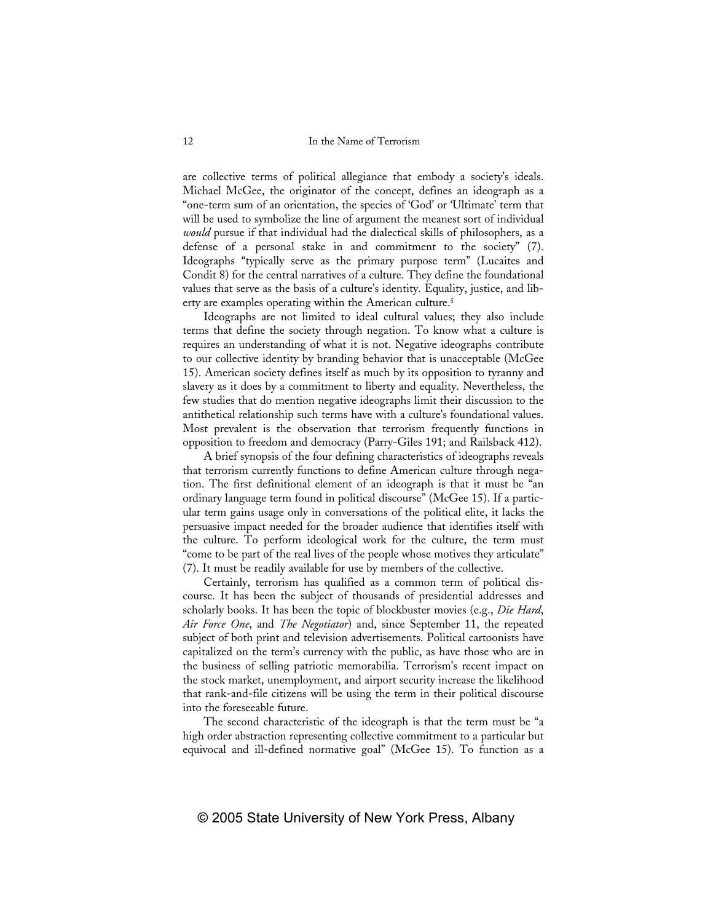are collective terms of political allegiance that embody a society's ideals. Michael McGee, the originator of the concept, defines an ideograph as a "one-term sum of an orientation, the species of 'God' or 'Ultimate' term that will be used to symbolize the line of argument the meanest sort of individual *would* pursue if that individual had the dialectical skills of philosophers, as a defense of a personal stake in and commitment to the society" (7). Ideographs "typically serve as the primary purpose term" (Lucaites and Condit 8) for the central narratives of a culture. They define the foundational values that serve as the basis of a culture's identity. Equality, justice, and liberty are examples operating within the American culture.<sup>5</sup>

Ideographs are not limited to ideal cultural values; they also include terms that define the society through negation. To know what a culture is requires an understanding of what it is not. Negative ideographs contribute to our collective identity by branding behavior that is unacceptable (McGee 15). American society defines itself as much by its opposition to tyranny and slavery as it does by a commitment to liberty and equality. Nevertheless, the few studies that do mention negative ideographs limit their discussion to the antithetical relationship such terms have with a culture's foundational values. Most prevalent is the observation that terrorism frequently functions in opposition to freedom and democracy (Parry-Giles 191; and Railsback 412).

A brief synopsis of the four defining characteristics of ideographs reveals that terrorism currently functions to define American culture through negation. The first definitional element of an ideograph is that it must be "an ordinary language term found in political discourse" (McGee 15). If a particular term gains usage only in conversations of the political elite, it lacks the persuasive impact needed for the broader audience that identifies itself with the culture. To perform ideological work for the culture, the term must "come to be part of the real lives of the people whose motives they articulate" (7). It must be readily available for use by members of the collective.

Certainly, terrorism has qualified as a common term of political discourse. It has been the subject of thousands of presidential addresses and scholarly books. It has been the topic of blockbuster movies (e.g., *Die Hard*, *Air Force One*, and *The Negotiator*) and, since September 11, the repeated subject of both print and television advertisements. Political cartoonists have capitalized on the term's currency with the public, as have those who are in the business of selling patriotic memorabilia. Terrorism's recent impact on the stock market, unemployment, and airport security increase the likelihood that rank-and-file citizens will be using the term in their political discourse into the foreseeable future.

The second characteristic of the ideograph is that the term must be "a high order abstraction representing collective commitment to a particular but equivocal and ill-defined normative goal" (McGee 15). To function as a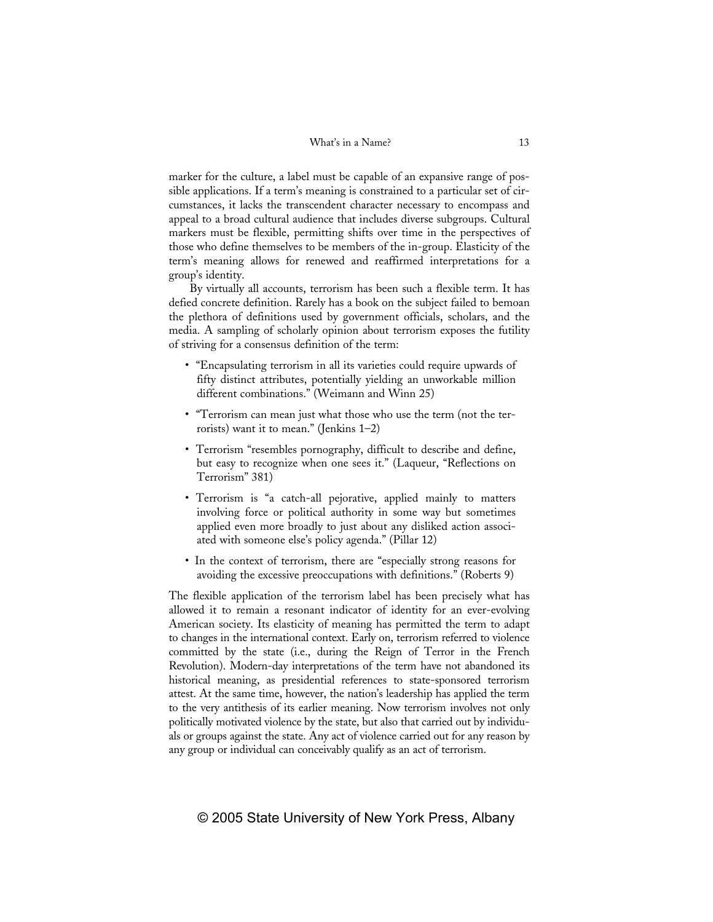marker for the culture, a label must be capable of an expansive range of possible applications. If a term's meaning is constrained to a particular set of circumstances, it lacks the transcendent character necessary to encompass and appeal to a broad cultural audience that includes diverse subgroups. Cultural markers must be flexible, permitting shifts over time in the perspectives of those who define themselves to be members of the in-group. Elasticity of the term's meaning allows for renewed and reaffirmed interpretations for a group's identity.

By virtually all accounts, terrorism has been such a flexible term. It has defied concrete definition. Rarely has a book on the subject failed to bemoan the plethora of definitions used by government officials, scholars, and the media. A sampling of scholarly opinion about terrorism exposes the futility of striving for a consensus definition of the term:

- "Encapsulating terrorism in all its varieties could require upwards of fifty distinct attributes, potentially yielding an unworkable million different combinations." (Weimann and Winn 25)
- "Terrorism can mean just what those who use the term (not the terrorists) want it to mean." (Jenkins 1–2)
- Terrorism "resembles pornography, difficult to describe and define, but easy to recognize when one sees it." (Laqueur, "Reflections on Terrorism" 381)
- Terrorism is "a catch-all pejorative, applied mainly to matters involving force or political authority in some way but sometimes applied even more broadly to just about any disliked action associated with someone else's policy agenda." (Pillar 12)
- In the context of terrorism, there are "especially strong reasons for avoiding the excessive preoccupations with definitions." (Roberts 9)

The flexible application of the terrorism label has been precisely what has allowed it to remain a resonant indicator of identity for an ever-evolving American society. Its elasticity of meaning has permitted the term to adapt to changes in the international context. Early on, terrorism referred to violence committed by the state (i.e., during the Reign of Terror in the French Revolution). Modern-day interpretations of the term have not abandoned its historical meaning, as presidential references to state-sponsored terrorism attest. At the same time, however, the nation's leadership has applied the term to the very antithesis of its earlier meaning. Now terrorism involves not only politically motivated violence by the state, but also that carried out by individuals or groups against the state. Any act of violence carried out for any reason by any group or individual can conceivably qualify as an act of terrorism.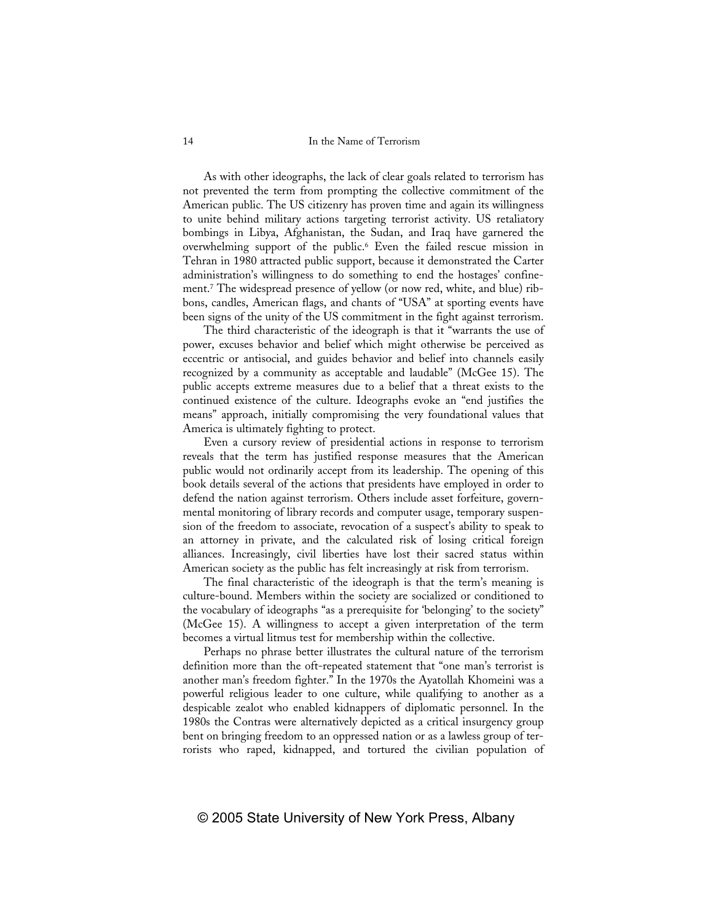As with other ideographs, the lack of clear goals related to terrorism has not prevented the term from prompting the collective commitment of the American public. The US citizenry has proven time and again its willingness to unite behind military actions targeting terrorist activity. US retaliatory bombings in Libya, Afghanistan, the Sudan, and Iraq have garnered the overwhelming support of the public.6 Even the failed rescue mission in Tehran in 1980 attracted public support, because it demonstrated the Carter administration's willingness to do something to end the hostages' confinement.7 The widespread presence of yellow (or now red, white, and blue) ribbons, candles, American flags, and chants of "USA" at sporting events have been signs of the unity of the US commitment in the fight against terrorism.

The third characteristic of the ideograph is that it "warrants the use of power, excuses behavior and belief which might otherwise be perceived as eccentric or antisocial, and guides behavior and belief into channels easily recognized by a community as acceptable and laudable" (McGee 15). The public accepts extreme measures due to a belief that a threat exists to the continued existence of the culture. Ideographs evoke an "end justifies the means" approach, initially compromising the very foundational values that America is ultimately fighting to protect.

Even a cursory review of presidential actions in response to terrorism reveals that the term has justified response measures that the American public would not ordinarily accept from its leadership. The opening of this book details several of the actions that presidents have employed in order to defend the nation against terrorism. Others include asset forfeiture, governmental monitoring of library records and computer usage, temporary suspension of the freedom to associate, revocation of a suspect's ability to speak to an attorney in private, and the calculated risk of losing critical foreign alliances. Increasingly, civil liberties have lost their sacred status within American society as the public has felt increasingly at risk from terrorism.

The final characteristic of the ideograph is that the term's meaning is culture-bound. Members within the society are socialized or conditioned to the vocabulary of ideographs "as a prerequisite for 'belonging' to the society" (McGee 15). A willingness to accept a given interpretation of the term becomes a virtual litmus test for membership within the collective.

Perhaps no phrase better illustrates the cultural nature of the terrorism definition more than the oft-repeated statement that "one man's terrorist is another man's freedom fighter." In the 1970s the Ayatollah Khomeini was a powerful religious leader to one culture, while qualifying to another as a despicable zealot who enabled kidnappers of diplomatic personnel. In the 1980s the Contras were alternatively depicted as a critical insurgency group bent on bringing freedom to an oppressed nation or as a lawless group of terrorists who raped, kidnapped, and tortured the civilian population of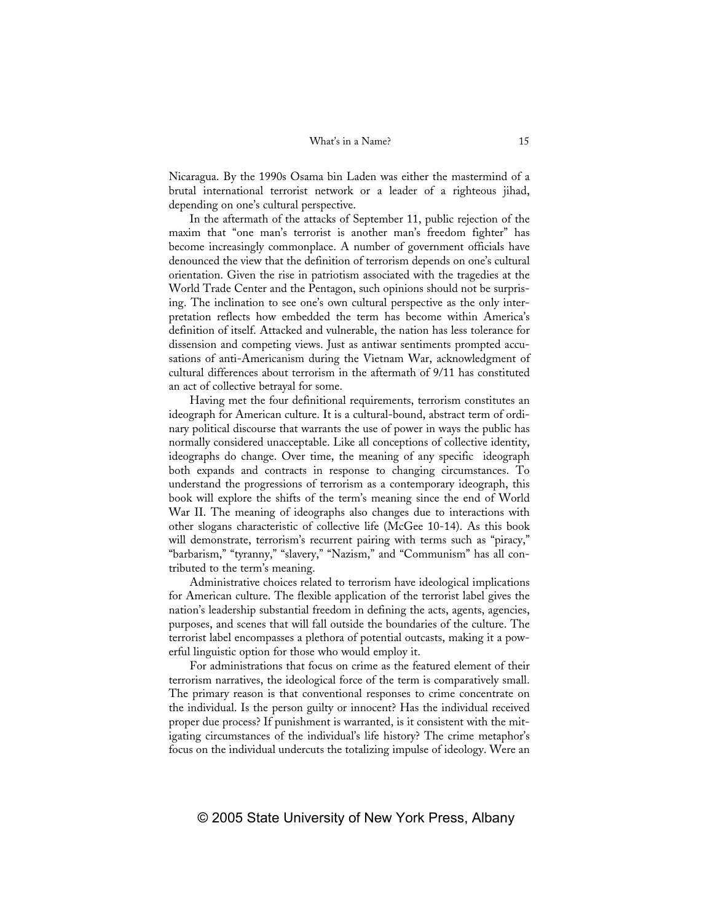Nicaragua. By the 1990s Osama bin Laden was either the mastermind of a brutal international terrorist network or a leader of a righteous jihad, depending on one's cultural perspective.

In the aftermath of the attacks of September 11, public rejection of the maxim that "one man's terrorist is another man's freedom fighter" has become increasingly commonplace. A number of government officials have denounced the view that the definition of terrorism depends on one's cultural orientation. Given the rise in patriotism associated with the tragedies at the World Trade Center and the Pentagon, such opinions should not be surprising. The inclination to see one's own cultural perspective as the only interpretation reflects how embedded the term has become within America's definition of itself. Attacked and vulnerable, the nation has less tolerance for dissension and competing views. Just as antiwar sentiments prompted accusations of anti-Americanism during the Vietnam War, acknowledgment of cultural differences about terrorism in the aftermath of 9/11 has constituted an act of collective betrayal for some.

Having met the four definitional requirements, terrorism constitutes an ideograph for American culture. It is a cultural-bound, abstract term of ordinary political discourse that warrants the use of power in ways the public has normally considered unacceptable. Like all conceptions of collective identity, ideographs do change. Over time, the meaning of any specific ideograph both expands and contracts in response to changing circumstances. To understand the progressions of terrorism as a contemporary ideograph, this book will explore the shifts of the term's meaning since the end of World War II. The meaning of ideographs also changes due to interactions with other slogans characteristic of collective life (McGee 10-14). As this book will demonstrate, terrorism's recurrent pairing with terms such as "piracy," "barbarism," "tyranny," "slavery," "Nazism," and "Communism" has all contributed to the term's meaning.

Administrative choices related to terrorism have ideological implications for American culture. The flexible application of the terrorist label gives the nation's leadership substantial freedom in defining the acts, agents, agencies, purposes, and scenes that will fall outside the boundaries of the culture. The terrorist label encompasses a plethora of potential outcasts, making it a powerful linguistic option for those who would employ it.

For administrations that focus on crime as the featured element of their terrorism narratives, the ideological force of the term is comparatively small. The primary reason is that conventional responses to crime concentrate on the individual. Is the person guilty or innocent? Has the individual received proper due process? If punishment is warranted, is it consistent with the mitigating circumstances of the individual's life history? The crime metaphor's focus on the individual undercuts the totalizing impulse of ideology. Were an